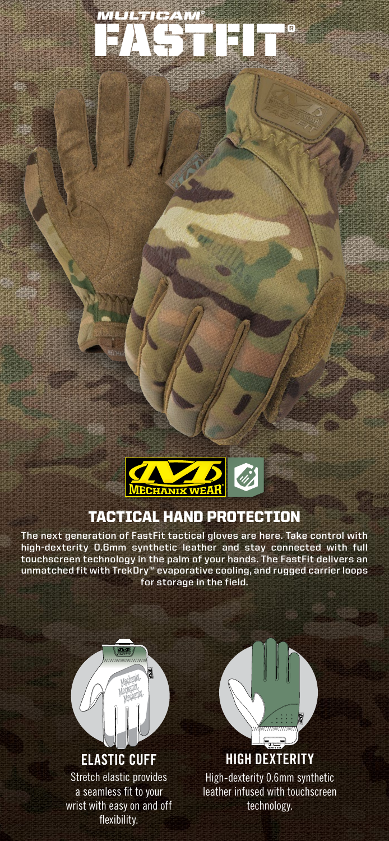

FASTFIT® *MULTICAM®*

## TACTICAL HAND PROTECTION

**The next generation of FastFit tactical gloves are here. Take control with high-dexterity 0.6mm synthetic leather and stay connected with full touchscreen technology in the palm of your hands. The FastFit delivers an unmatched fit with TrekDry™ evaporative cooling, and rugged carrier loops for storage in the field.**



wrist with easy on and off flexibility.



**HIGH DEXTERITY** High-dexterity 0.6mm synthetic leather infused with touchscreen technology.